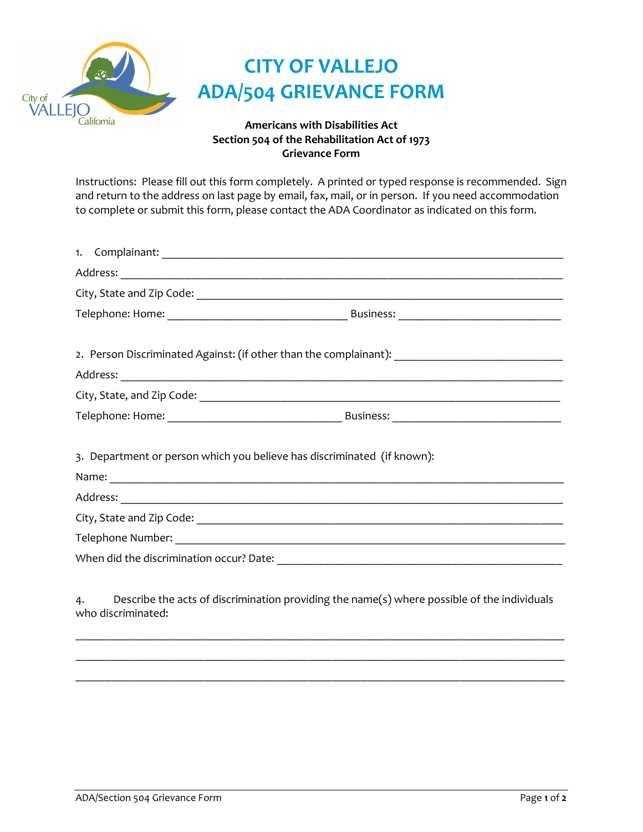

## **Section 504 of the Rehabilitation Act of 1973 Grievance Form**

Instructions: Please fill out this form completely. A printed or typed response is recommended. Sign and return to the address on last page by email, fax, mail, or in person. If you need accommodation to complete or submit this form, please contact the ADA Coordinator as indicated on this form.

|    | 2. Person Discriminated Against: (if other than the complainant): _________________________________               |
|----|-------------------------------------------------------------------------------------------------------------------|
|    |                                                                                                                   |
|    |                                                                                                                   |
|    |                                                                                                                   |
|    |                                                                                                                   |
|    | 3. Department or person which you believe has discriminated (if known):                                           |
|    |                                                                                                                   |
|    |                                                                                                                   |
|    |                                                                                                                   |
|    |                                                                                                                   |
|    |                                                                                                                   |
|    |                                                                                                                   |
| 4. | Describe the acts of discrimination providing the name(s) where possible of the individuals<br>who discriminated: |

 $\_$  , and the state of the state of the state of the state of the state of the state of the state of the state of the state of the state of the state of the state of the state of the state of the state of the state of the \_\_\_\_\_\_\_\_\_\_\_\_\_\_\_\_\_\_\_\_\_\_\_\_\_\_\_\_\_\_\_\_\_\_\_\_\_\_\_\_\_\_\_\_\_\_\_\_\_\_\_\_\_\_\_\_\_\_\_\_\_\_\_\_\_\_\_\_\_\_\_\_\_\_\_\_\_\_\_\_\_\_\_\_ \_\_\_\_\_\_\_\_\_\_\_\_\_\_\_\_\_\_\_\_\_\_\_\_\_\_\_\_\_\_\_\_\_\_\_\_\_\_\_\_\_\_\_\_\_\_\_\_\_\_\_\_\_\_\_\_\_\_\_\_\_\_\_\_\_\_\_\_\_\_\_\_\_\_\_\_\_\_\_\_\_\_\_\_